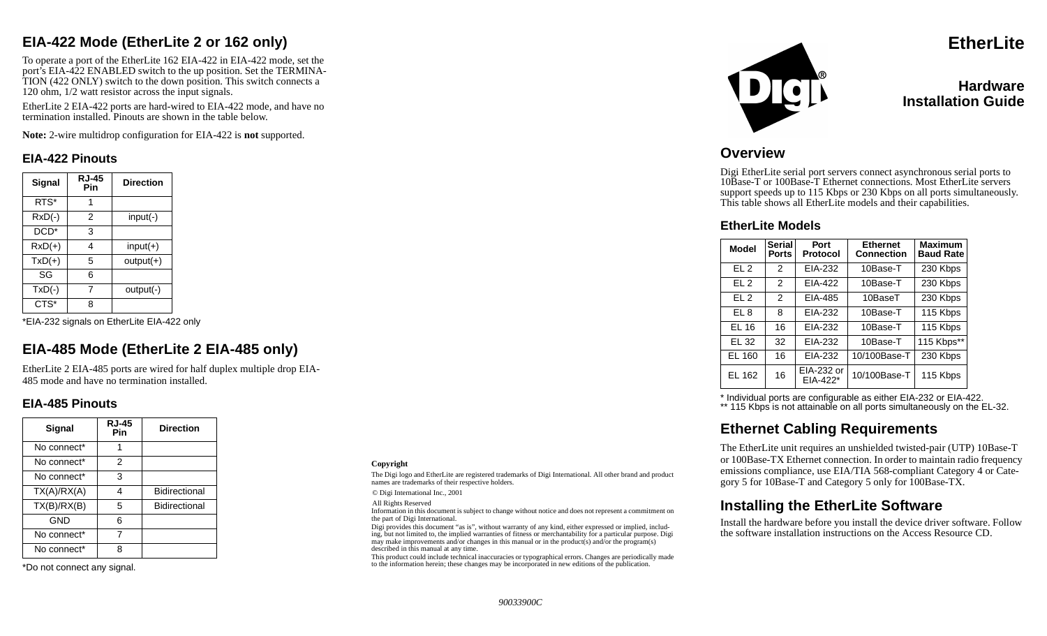## **EIA-422 Mode (EtherLite 2 or 162 only)**

To operate a port of the EtherLite 162 EIA-422 in EIA-422 mode, set the por<sup>t</sup>'s EIA-422 ENABLED switch to the up position. Set the TERMINA-TION (422 ONLY) switch to the down position. This switch connects a 120 ohm, 1/2 watt resistor across the input signals.

EtherLite 2 EIA-422 ports are hard-wired to EIA-422 mode, and have no termination installed. Pinouts are shown in the table below.

**Note:** 2-wire multidrop configuration for EIA-422 is **not** supported.

#### **EIA-422 Pinouts**

| Signal           | <b>RJ-45</b><br>Pin | <b>Direction</b> |
|------------------|---------------------|------------------|
| RTS*             | 1                   |                  |
| $RxD(-)$         | 2                   | $input(-)$       |
| DCD <sup>*</sup> | 3                   |                  |
| $RxD(+)$         | 4                   | $input(+)$       |
| $TxD(+)$         | 5                   | $output(+)$      |
| SG               | 6                   |                  |
| $TxD(-)$         | 7                   | output(-)        |
| CTS*             | 8                   |                  |

\*EIA-232 signals on EtherLite EIA-422 only

# **EIA-485 Mode (EtherLite 2 EIA-485 only)**

EtherLite 2 EIA-485 ports are wired for half duplex multiple drop EIA-485 mode and have no termination installed.

### **EIA-485 Pinouts**

| Signal                  | <b>RJ-45</b><br>Pin | <b>Direction</b> |
|-------------------------|---------------------|------------------|
| No connect*             |                     |                  |
| No connect*             | 2                   |                  |
| No connect <sup>*</sup> | 3                   |                  |
| TX(A)/RX(A)             | 4                   | Bidirectional    |
| TX(B)/RX(B)             | 5                   | Bidirectional    |
| GND                     | 6                   |                  |
| No connect*             | 7                   |                  |
| No connect <sup>*</sup> | ጸ                   |                  |

\*Do not connect any signal.

#### **Copyright**

The Digi logo and EtherLite are registered trademarks of Digi International. All other brand and product names are trademarks of their respective holders.

© Digi International Inc., 2001

All Rights Reserved

Information in this document is subject to change without notice and does not represent a commitment on the part of Digi International.

Digi provides this document "as is", without warranty of any kind, either expressed or implied, including, but not limited to, the implied warranties of fitness or merchantability for a particular purpose. Digi may make improvements and/or changes in this manual or in the product(s) and/or the program(s) described in this manual at any time.

This product could include technical inaccuracies or typographical errors. Changes are periodically made to the information herein; these changes may be incorporated in new editions of the publication.



**EtherLite**

### **HardwareInstallation Guide**

### **Overview**

Digi EtherLite serial port servers connect asynchronous serial ports to 10Base-T or 100Base-T Ethernet connections. Most EtherLite servers support speeds up to 115 Kbps or 230 Kbps on all ports simultaneously. This table shows all EtherLite models and their capabilities.

#### **EtherLite Models**

| <b>Model</b>    | <b>Serial</b><br><b>Ports</b> | Port<br><b>Protocol</b> | <b>Ethernet</b><br><b>Connection</b> | <b>Maximum</b><br><b>Baud Rate</b> |  |
|-----------------|-------------------------------|-------------------------|--------------------------------------|------------------------------------|--|
| FL <sub>2</sub> | $\overline{2}$                | EIA-232                 | 10Base-T                             | 230 Kbps                           |  |
| EL <sub>2</sub> | $\overline{2}$                | EIA-422                 | 10Base-T                             | 230 Kbps                           |  |
| EL <sub>2</sub> | $\mathcal{P}$                 | EIA-485                 | 10BaseT                              | 230 Kbps                           |  |
| EL 8            | 8                             | EIA-232                 | 10Base-T                             | 115 Kbps                           |  |
| <b>EL 16</b>    | 16                            | EIA-232                 | 10Base-T                             | 115 Kbps                           |  |
| EL 32           | 32                            | EIA-232                 | 10Base-T                             | 115 Kbps**                         |  |
| EL 160          | 16                            | EIA-232                 | 10/100Base-T                         | 230 Kbps                           |  |
| EL 162          | 16                            | EIA-232 or<br>EIA-422*  | 10/100Base-T                         | 115 Kbps                           |  |

\* Individual ports are configurable as either EIA-232 or EIA-422.

\*\* 115 Kbps is not attainable on all ports simultaneously on the EL-32.

### **Ethernet Cabling Requirements**

The EtherLite unit requires an unshielded twisted-pair (UTP) 10Base-T or 100Base-TX Ethernet connection. In order to maintain radio frequency emissions compliance, use EIA/TIA 568-compliant Category 4 or Category 5 for 10Base-T and Category 5 only for 100Base-TX.

### **Installing the EtherLite Software**

Install the hardware before you install the device driver software. Follow the software installation instructions on the Access Resource CD.